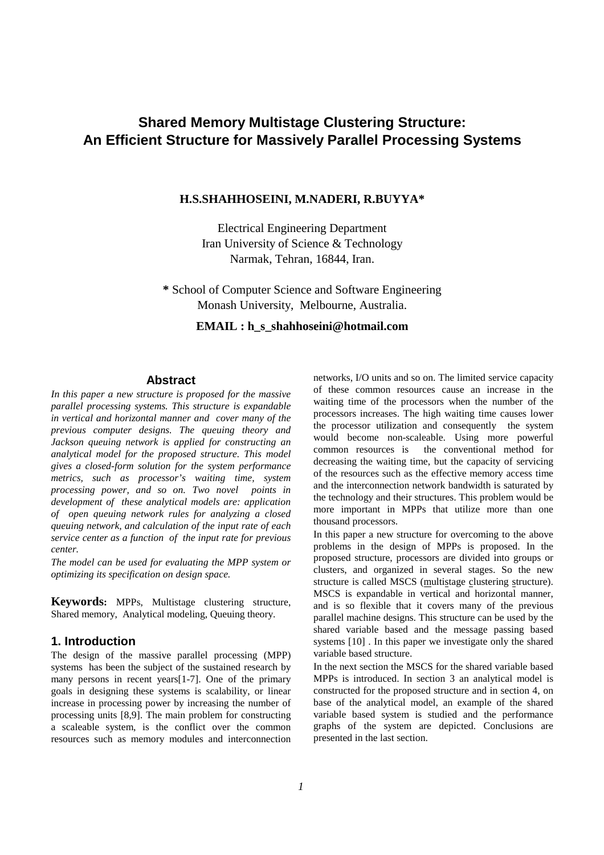# **Shared Memory Multistage Clustering Structure: An Efficient Structure for Massively Parallel Processing Systems**

## **H.S.SHAHHOSEINI, M.NADERI, R.BUYYA\***

Electrical Engineering Department Iran University of Science & Technology Narmak, Tehran, 16844, Iran.

**\*** School of Computer Science and Software Engineering Monash University, Melbourne, Australia.

**EMAIL : h\_s\_shahhoseini@hotmail.com**

### **Abstract**

*In this paper a new structure is proposed for the massive parallel processing systems. This structure is expandable in vertical and horizontal manner and cover many of the previous computer designs. The queuing theory and Jackson queuing network is applied for constructing an analytical model for the proposed structure. This model gives a closed-form solution for the system performance metrics, such as processor's waiting time, system processing power, and so on. Two novel points in development of these analytical models are: application of open queuing network rules for analyzing a closed queuing network, and calculation of the input rate of each service center as a function of the input rate for previous center.*

*The model can be used for evaluating the MPP system or optimizing its specification on design space.*

**Keywords:** MPPs, Multistage clustering structure, Shared memory, Analytical modeling, Queuing theory.

## **1. Introduction**

The design of the massive parallel processing (MPP) systems has been the subject of the sustained research by many persons in recent years[1-7]. One of the primary goals in designing these systems is scalability, or linear increase in processing power by increasing the number of processing units [8,9]. The main problem for constructing a scaleable system, is the conflict over the common resources such as memory modules and interconnection networks, I/O units and so on. The limited service capacity of these common resources cause an increase in the waiting time of the processors when the number of the processors increases. The high waiting time causes lower the processor utilization and consequently the system would become non-scaleable. Using more powerful common resources is the conventional method for decreasing the waiting time, but the capacity of servicing of the resources such as the effective memory access time and the interconnection network bandwidth is saturated by the technology and their structures. This problem would be more important in MPPs that utilize more than one thousand processors.

In this paper a new structure for overcoming to the above problems in the design of MPPs is proposed. In the proposed structure, processors are divided into groups or clusters, and organized in several stages. So the new structure is called MSCS (multistage clustering structure). MSCS is expandable in vertical and horizontal manner, and is so flexible that it covers many of the previous parallel machine designs. This structure can be used by the shared variable based and the message passing based systems [10] . In this paper we investigate only the shared variable based structure.

In the next section the MSCS for the shared variable based MPPs is introduced. In section 3 an analytical model is constructed for the proposed structure and in section 4, on base of the analytical model, an example of the shared variable based system is studied and the performance graphs of the system are depicted. Conclusions are presented in the last section.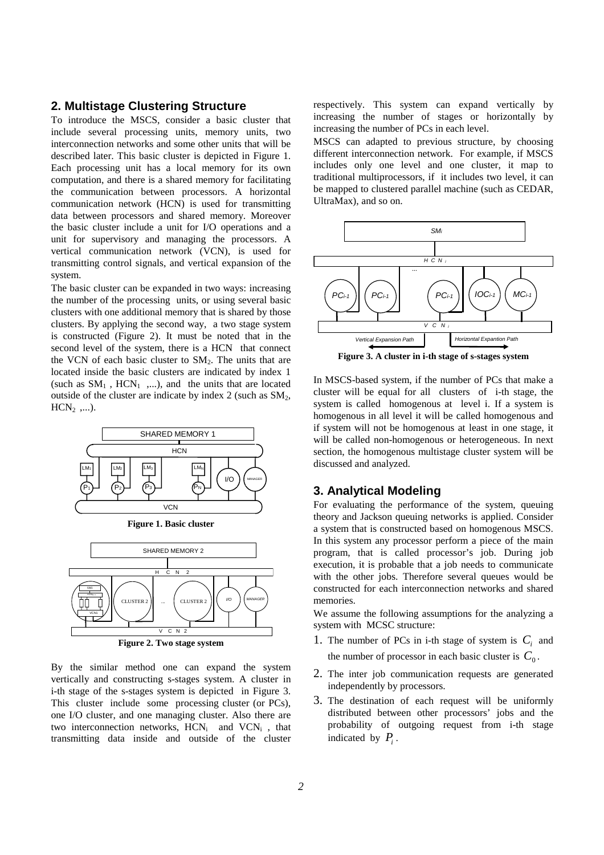#### **2. Multistage Clustering Structure**

To introduce the MSCS, consider a basic cluster that include several processing units, memory units, two interconnection networks and some other units that will be described later. This basic cluster is depicted in Figure 1. Each processing unit has a local memory for its own computation, and there is a shared memory for facilitating the communication between processors. A horizontal communication network (HCN) is used for transmitting data between processors and shared memory. Moreover the basic cluster include a unit for I/O operations and a unit for supervisory and managing the processors. A vertical communication network (VCN), is used for transmitting control signals, and vertical expansion of the system.

The basic cluster can be expanded in two ways: increasing the number of the processing units, or using several basic clusters with one additional memory that is shared by those clusters. By applying the second way, a two stage system is constructed (Figure 2). It must be noted that in the second level of the system, there is a HCN that connect the VCN of each basic cluster to  $SM<sub>2</sub>$ . The units that are located inside the basic clusters are indicated by index 1 (such as  $SM_1$ ,  $HCN_1$ ,...), and the units that are located outside of the cluster are indicate by index  $2$  (such as  $SM<sub>2</sub>$ ,  $HCN<sub>2</sub>$ ,...).



**Figure 2. Two stage system**

By the similar method one can expand the system vertically and constructing s-stages system. A cluster in i-th stage of the s-stages system is depicted in Figure 3. This cluster include some processing cluster (or PCs), one I/O cluster, and one managing cluster. Also there are two interconnection networks,  $HCN_i$  and  $VCN_i$ , that transmitting data inside and outside of the cluster respectively. This system can expand vertically by increasing the number of stages or horizontally by increasing the number of PCs in each level.

MSCS can adapted to previous structure, by choosing different interconnection network. For example, if MSCS includes only one level and one cluster, it map to traditional multiprocessors, if it includes two level, it can be mapped to clustered parallel machine (such as CEDAR, UltraMax), and so on.



**Figure 3. A cluster in i-th stage of s-stages system**

In MSCS-based system, if the number of PCs that make a cluster will be equal for all clusters of i-th stage, the system is called homogenous at level i. If a system is homogenous in all level it will be called homogenous and if system will not be homogenous at least in one stage, it will be called non-homogenous or heterogeneous. In next section, the homogenous multistage cluster system will be discussed and analyzed.

## **3. Analytical Modeling**

For evaluating the performance of the system, queuing theory and Jackson queuing networks is applied. Consider a system that is constructed based on homogenous MSCS. In this system any processor perform a piece of the main program, that is called processor's job. During job execution, it is probable that a job needs to communicate with the other jobs. Therefore several queues would be constructed for each interconnection networks and shared memories.

We assume the following assumptions for the analyzing a system with MCSC structure:

- 1. The number of PCs in i-th stage of system is  $C_i$  and the number of processor in each basic cluster is  $C_0$ .
- 2. The inter job communication requests are generated independently by processors.
- 3. The destination of each request will be uniformly distributed between other processors' jobs and the probability of outgoing request from i-th stage indicated by  $P_i$ .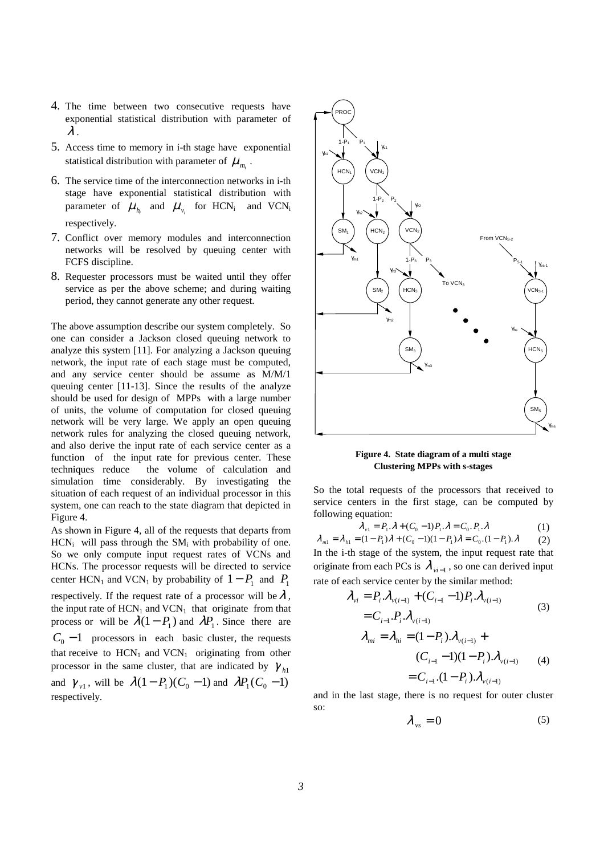- 4. The time between two consecutive requests have exponential statistical distribution with parameter of λ .
- 5. Access time to memory in i-th stage have exponential statistical distribution with parameter of  $\mu_m$ .
- 6. The service time of the interconnection networks in i-th stage have exponential statistical distribution with parameter of  $\mu_{h_i}$  and  $\mu_{v_i}$  for HCN<sub>i</sub> and VCN<sub>i</sub> respectively.
- 7. Conflict over memory modules and interconnection networks will be resolved by queuing center with FCFS discipline.
- 8. Requester processors must be waited until they offer service as per the above scheme; and during waiting period, they cannot generate any other request.

The above assumption describe our system completely. So one can consider a Jackson closed queuing network to analyze this system [11]. For analyzing a Jackson queuing network, the input rate of each stage must be computed, and any service center should be assume as M/M/1 queuing center [11-13]. Since the results of the analyze should be used for design of MPPs with a large number of units, the volume of computation for closed queuing network will be very large. We apply an open queuing network rules for analyzing the closed queuing network, and also derive the input rate of each service center as a function of the input rate for previous center. These techniques reduce the volume of calculation and simulation time considerably. By investigating the situation of each request of an individual processor in this system, one can reach to the state diagram that depicted in Figure 4.

As shown in Figure 4, all of the requests that departs from  $HCN_i$  will pass through the  $SM_i$  with probability of one. So we only compute input request rates of VCNs and HCNs. The processor requests will be directed to service center HCN<sub>1</sub> and VCN<sub>1</sub> by probability of  $1-P_1$  and  $P_1$ respectively. If the request rate of a processor will be  $\lambda$ , the input rate of  $HCN_1$  and  $VCN_1$  that originate from that process or will be  $\lambda(1 - P_1)$  and  $\lambda P_1$ . Since there are  $C_0$  − 1 processors in each basic cluster, the requests that receive to  $HCN_1$  and  $VCN_1$  originating from other processor in the same cluster, that are indicated by  $\gamma_{h1}$ and  $\gamma_{v1}$ , will be  $\lambda(1 - P_1)(C_0 - 1)$  and  $\lambda P_1(C_0 - 1)$ respectively.



**Figure 4. State diagram of a multi stage Clustering MPPs with s-stages**

So the total requests of the processors that received to service centers in the first stage, can be computed by following equation:

$$
\lambda_{v1} = P_1 \cdot \lambda + (C_0 - 1) P_1 \cdot \lambda = C_0 \cdot P_1 \cdot \lambda \tag{1}
$$
\n
$$
\lambda_{m1} = \lambda_{h1} = (1 - P_1) \lambda + (C_0 - 1)(1 - P_1) \lambda = C_0 \cdot (1 - P_1) \cdot \lambda \tag{2}
$$

In the i-th stage of the system, the input request rate that originate from each PCs is  $\lambda_{\nu-1}$ , so one can derived input rate of each service center by the similar method:

$$
\lambda_{vi} = P_i \cdot \lambda_{v(i-1)} + (C_{i-1} - 1) P_i \cdot \lambda_{v(i-1)}
$$
\n
$$
= C_{i-1} \cdot P_i \cdot \lambda_{v(i-1)}
$$
\n
$$
\lambda_{mi} = \lambda_{hi} = (1 - P_i) \cdot \lambda_{v(i-1)} + (C_{i-1} - 1)(1 - P_i) \cdot \lambda_{v(i-1)}
$$
\n
$$
= C_{i-1} \cdot (1 - P_i) \cdot \lambda_{v(i-1)}
$$
\n(4)

and in the last stage, there is no request for outer cluster so:

$$
\lambda_{\nu s} = 0 \tag{5}
$$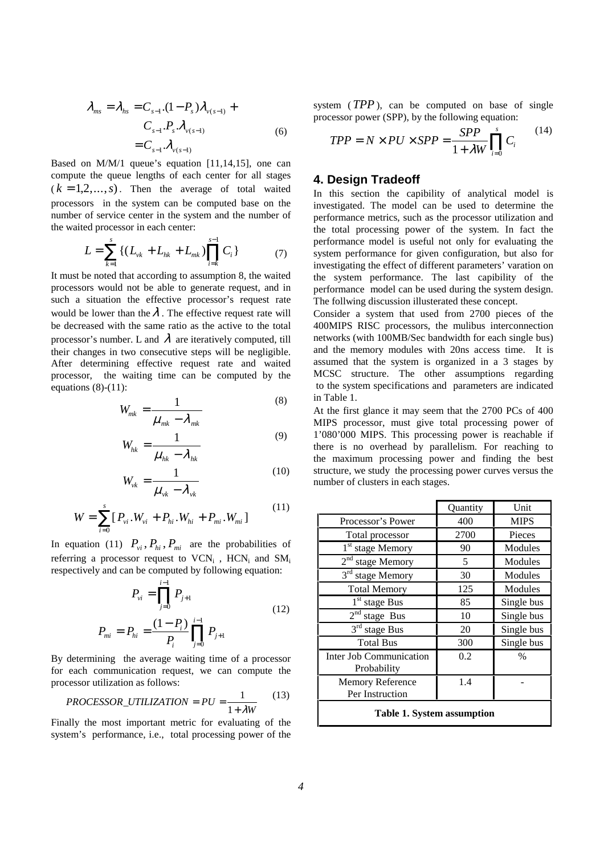$$
\lambda_{ms} = \lambda_{hs} = C_{s-1} \cdot (1 - P_s) \lambda_{\nu(s-1)} + C_{s-1} \cdot P_s \cdot \lambda_{\nu(s-1)} \n= C_{s-1} \cdot \lambda_{\nu(s-1)}
$$
\n(6)

Based on M/M/1 queue's equation [11,14,15], one can compute the queue lengths of each center for all stages  $(k = 1, 2, \ldots, s)$ . Then the average of total waited processors in the system can be computed base on the number of service center in the system and the number of the waited processor in each center:

$$
L = \sum_{k=1}^{s} \left\{ (L_{vk} + L_{hk} + L_{mk}) \prod_{i=k}^{s-1} C_i \right\}
$$
 (7)

It must be noted that according to assumption 8, the waited processors would not be able to generate request, and in such a situation the effective processor's request rate would be lower than the  $\lambda$ . The effective request rate will be decreased with the same ratio as the active to the total processor's number. L and  $\lambda$  are iteratively computed, till their changes in two consecutive steps will be negligible. After determining effective request rate and waited processor, the waiting time can be computed by the equations  $(8)-(11)$ :

$$
W_{mk} = \frac{1}{\mu_{mk} - \lambda_{mk}}
$$
 (8)

$$
W_{hk} = \frac{1}{\mu_{hk} - \lambda_{hk}}
$$
 (9)

$$
W_{\nu k} = \frac{1}{\mu_{\nu k} - \lambda_{\nu k}}\tag{10}
$$

$$
W = \sum_{i=0}^{s} [P_{vi} \cdot W_{vi} + P_{hi} \cdot W_{hi} + P_{mi} \cdot W_{mi}] \tag{11}
$$

In equation (11)  $P_{vi}$ ,  $P_{hi}$ ,  $P_{mi}$  are the probabilities of referring a processor request to  $VCN_i$ ,  $HCN_i$  and  $SM_i$ respectively and can be computed by following equation:

$$
P_{vi} = \prod_{j=0}^{i-1} P_{j+1}
$$
  
\n
$$
P_{mi} = P_{hi} = \frac{(1 - P_i)}{P_i} \prod_{j=0}^{i-1} P_{j+1}
$$
\n(12)

By determining the average waiting time of a processor for each communication request, we can compute the processor utilization as follows:

$$
PROCESSOR\_UTILLIZATION = PU = \frac{1}{1 + \lambda W} \tag{13}
$$

Finally the most important metric for evaluating of the system's performance, i.e., total processing power of the system (*TPP*), can be computed on base of single processor power (SPP), by the following equation:

$$
TPP = N \times PU \times SPP = \frac{SPP}{1 + \lambda W} \prod_{i=0}^{s} C_i
$$
 (14)

### **4. Design Tradeoff**

In this section the capibility of analytical model is investigated. The model can be used to determine the performance metrics, such as the processor utilization and the total processing power of the system. In fact the performance model is useful not only for evaluating the system performance for given configuration, but also for investigating the effect of different parameters' varation on the system performance. The last capibility of the performance model can be used during the system design. The follwing discussion illusterated these concept.

Consider a system that used from 2700 pieces of the 400MIPS RISC processors, the mulibus interconnection networks (with 100MB/Sec bandwidth for each single bus) and the memory modules with 20ns access time. It is assumed that the system is organized in a 3 stages by MCSC structure. The other assumptions regarding to the system specifications and parameters are indicated in Table 1.

At the first glance it may seem that the 2700 PCs of 400 MIPS processor, must give total processing power of 1'080'000 MIPS. This processing power is reachable if there is no overhead by parallelism. For reaching to the maximum processing power and finding the best structure, we study the processing power curves versus the number of clusters in each stages.

|                                               | Quantity | Unit        |
|-----------------------------------------------|----------|-------------|
| Processor's Power                             | 400      | <b>MIPS</b> |
| Total processor                               | 2700     | Pieces      |
| 1 <sup>st</sup> stage Memory                  | 90       | Modules     |
| $2nd$ stage Memory                            | 5        | Modules     |
| $3rd$ stage Memory                            | 30       | Modules     |
| <b>Total Memory</b>                           | 125      | Modules     |
| $1st$ stage Bus                               | 85       | Single bus  |
| $2nd$ stage Bus                               | 10       | Single bus  |
| $3rd$ stage Bus                               | 20       | Single bus  |
| <b>Total Bus</b>                              | 300      | Single bus  |
| <b>Inter Job Communication</b><br>Probability | 0.2      | $\%$        |
| <b>Memory Reference</b><br>Per Instruction    | 1.4      |             |
| <b>Table 1. System assumption</b>             |          |             |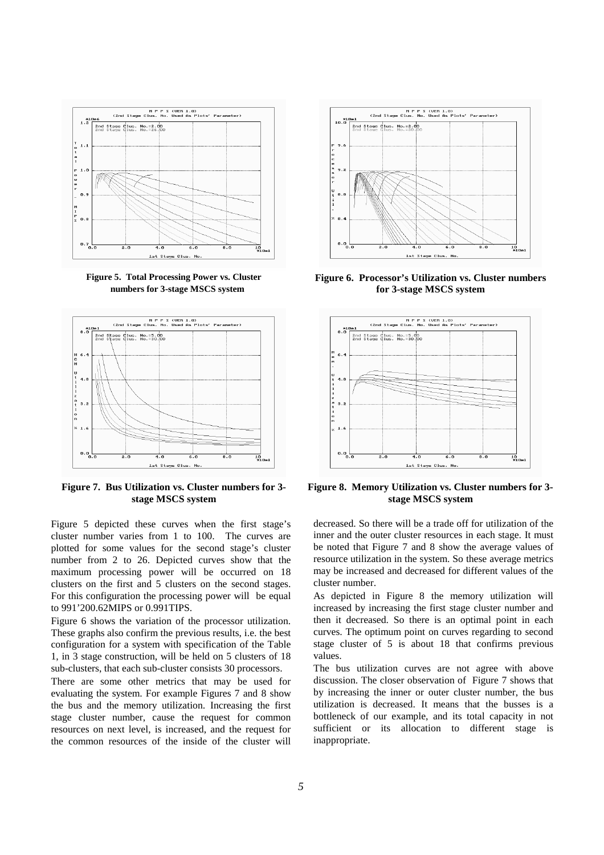

**Figure 5. Total Processing Power vs. Cluster numbers for 3-stage MSCS system**



**Figure 7. Bus Utilization vs. Cluster numbers for 3 stage MSCS system**

Figure 5 depicted these curves when the first stage's cluster number varies from 1 to 100. The curves are plotted for some values for the second stage's cluster number from 2 to 26. Depicted curves show that the maximum processing power will be occurred on 18 clusters on the first and 5 clusters on the second stages. For this configuration the processing power will be equal to 991'200.62MIPS or 0.991TIPS.

Figure 6 shows the variation of the processor utilization. These graphs also confirm the previous results, i.e. the best configuration for a system with specification of the Table 1, in 3 stage construction, will be held on 5 clusters of 18 sub-clusters, that each sub-cluster consists 30 processors.

There are some other metrics that may be used for evaluating the system. For example Figures 7 and 8 show the bus and the memory utilization. Increasing the first stage cluster number, cause the request for common resources on next level, is increased, and the request for the common resources of the inside of the cluster will



**Figure 6. Processor's Utilization vs. Cluster numbers for 3-stage MSCS system**



**Figure 8. Memory Utilization vs. Cluster numbers for 3 stage MSCS system**

decreased. So there will be a trade off for utilization of the inner and the outer cluster resources in each stage. It must be noted that Figure 7 and 8 show the average values of resource utilization in the system. So these average metrics may be increased and decreased for different values of the cluster number.

As depicted in Figure 8 the memory utilization will increased by increasing the first stage cluster number and then it decreased. So there is an optimal point in each curves. The optimum point on curves regarding to second stage cluster of 5 is about 18 that confirms previous values.

The bus utilization curves are not agree with above discussion. The closer observation of Figure 7 shows that by increasing the inner or outer cluster number, the bus utilization is decreased. It means that the busses is a bottleneck of our example, and its total capacity in not sufficient or its allocation to different stage is inappropriate.